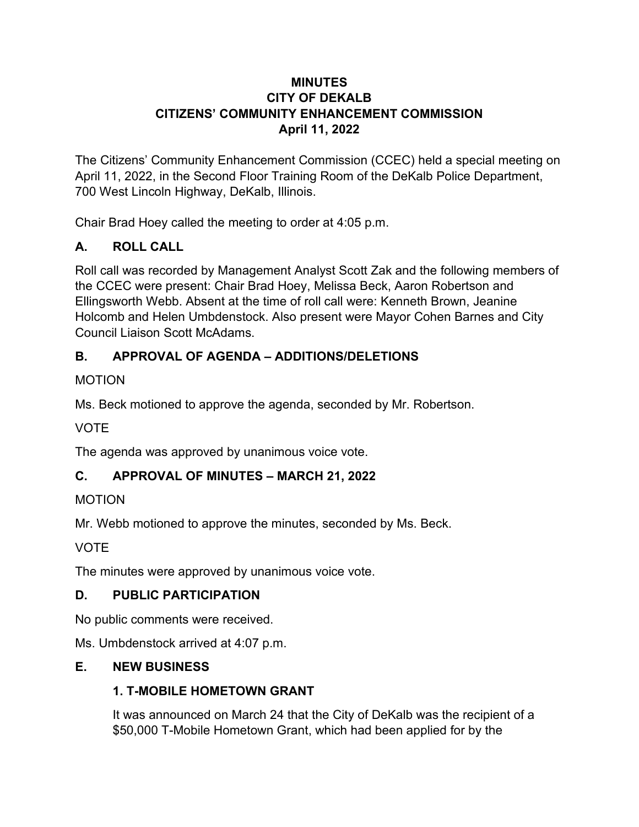#### **MINUTES CITY OF DEKALB CITIZENS' COMMUNITY ENHANCEMENT COMMISSION April 11, 2022**

The Citizens' Community Enhancement Commission (CCEC) held a special meeting on April 11, 2022, in the Second Floor Training Room of the DeKalb Police Department, 700 West Lincoln Highway, DeKalb, Illinois.

Chair Brad Hoey called the meeting to order at 4:05 p.m.

## **A. ROLL CALL**

Roll call was recorded by Management Analyst Scott Zak and the following members of the CCEC were present: Chair Brad Hoey, Melissa Beck, Aaron Robertson and Ellingsworth Webb. Absent at the time of roll call were: Kenneth Brown, Jeanine Holcomb and Helen Umbdenstock. Also present were Mayor Cohen Barnes and City Council Liaison Scott McAdams.

# **B. APPROVAL OF AGENDA – ADDITIONS/DELETIONS**

#### MOTION

Ms. Beck motioned to approve the agenda, seconded by Mr. Robertson.

## **VOTE**

The agenda was approved by unanimous voice vote.

## **C. APPROVAL OF MINUTES – MARCH 21, 2022**

#### MOTION

Mr. Webb motioned to approve the minutes, seconded by Ms. Beck.

VOTE

The minutes were approved by unanimous voice vote.

## **D. PUBLIC PARTICIPATION**

No public comments were received.

Ms. Umbdenstock arrived at 4:07 p.m.

## **E. NEW BUSINESS**

## **1. T-MOBILE HOMETOWN GRANT**

It was announced on March 24 that the City of DeKalb was the recipient of a \$50,000 T-Mobile Hometown Grant, which had been applied for by the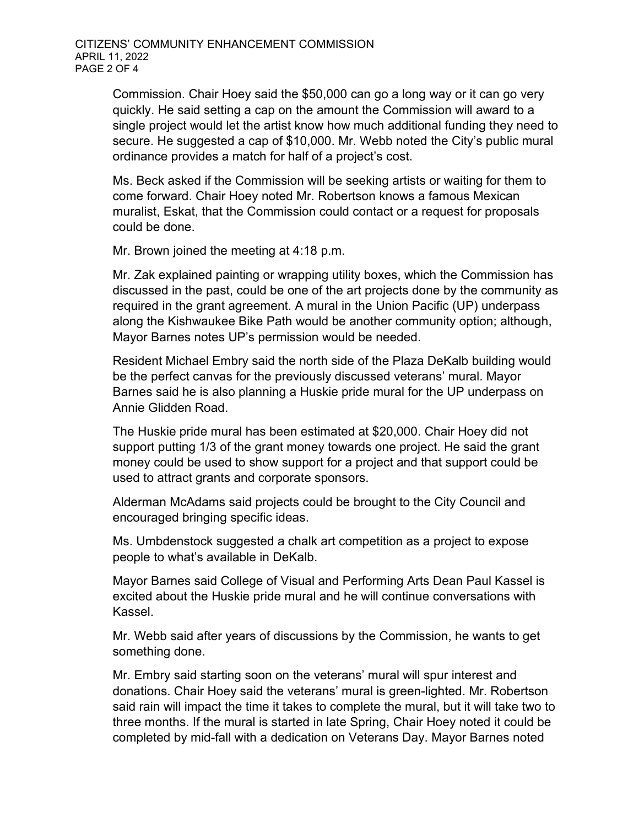Commission. Chair Hoey said the \$50,000 can go a long way or it can go very quickly. He said setting a cap on the amount the Commission will award to a single project would let the artist know how much additional funding they need to secure. He suggested a cap of \$10,000. Mr. Webb noted the City's public mural ordinance provides a match for half of a project's cost.

Ms. Beck asked if the Commission will be seeking artists or waiting for them to come forward. Chair Hoey noted Mr. Robertson knows a famous Mexican muralist, Eskat, that the Commission could contact or a request for proposals could be done.

Mr. Brown joined the meeting at 4:18 p.m.

Mr. Zak explained painting or wrapping utility boxes, which the Commission has discussed in the past, could be one of the art projects done by the community as required in the grant agreement. A mural in the Union Pacific (UP) underpass along the Kishwaukee Bike Path would be another community option; although, Mayor Barnes notes UP's permission would be needed.

Resident Michael Embry said the north side of the Plaza DeKalb building would be the perfect canvas for the previously discussed veterans' mural. Mayor Barnes said he is also planning a Huskie pride mural for the UP underpass on Annie Glidden Road.

The Huskie pride mural has been estimated at \$20,000. Chair Hoey did not support putting 1/3 of the grant money towards one project. He said the grant money could be used to show support for a project and that support could be used to attract grants and corporate sponsors.

Alderman McAdams said projects could be brought to the City Council and encouraged bringing specific ideas.

Ms. Umbdenstock suggested a chalk art competition as a project to expose people to what's available in DeKalb.

Mayor Barnes said College of Visual and Performing Arts Dean Paul Kassel is excited about the Huskie pride mural and he will continue conversations with Kassel.

Mr. Webb said after years of discussions by the Commission, he wants to get something done.

Mr. Embry said starting soon on the veterans' mural will spur interest and donations. Chair Hoey said the veterans' mural is green-lighted. Mr. Robertson said rain will impact the time it takes to complete the mural, but it will take two to three months. If the mural is started in late Spring, Chair Hoey noted it could be completed by mid-fall with a dedication on Veterans Day. Mayor Barnes noted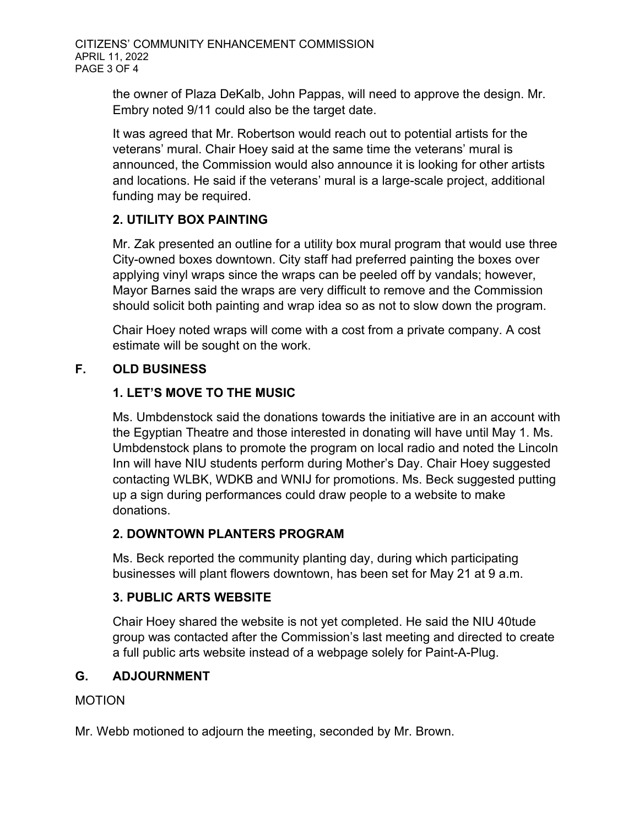the owner of Plaza DeKalb, John Pappas, will need to approve the design. Mr. Embry noted 9/11 could also be the target date.

It was agreed that Mr. Robertson would reach out to potential artists for the veterans' mural. Chair Hoey said at the same time the veterans' mural is announced, the Commission would also announce it is looking for other artists and locations. He said if the veterans' mural is a large-scale project, additional funding may be required.

## **2. UTILITY BOX PAINTING**

Mr. Zak presented an outline for a utility box mural program that would use three City-owned boxes downtown. City staff had preferred painting the boxes over applying vinyl wraps since the wraps can be peeled off by vandals; however, Mayor Barnes said the wraps are very difficult to remove and the Commission should solicit both painting and wrap idea so as not to slow down the program.

Chair Hoey noted wraps will come with a cost from a private company. A cost estimate will be sought on the work.

## **F. OLD BUSINESS**

## **1. LET'S MOVE TO THE MUSIC**

Ms. Umbdenstock said the donations towards the initiative are in an account with the Egyptian Theatre and those interested in donating will have until May 1. Ms. Umbdenstock plans to promote the program on local radio and noted the Lincoln Inn will have NIU students perform during Mother's Day. Chair Hoey suggested contacting WLBK, WDKB and WNIJ for promotions. Ms. Beck suggested putting up a sign during performances could draw people to a website to make donations.

## **2. DOWNTOWN PLANTERS PROGRAM**

Ms. Beck reported the community planting day, during which participating businesses will plant flowers downtown, has been set for May 21 at 9 a.m.

## **3. PUBLIC ARTS WEBSITE**

Chair Hoey shared the website is not yet completed. He said the NIU 40tude group was contacted after the Commission's last meeting and directed to create a full public arts website instead of a webpage solely for Paint-A-Plug.

## **G. ADJOURNMENT**

MOTION

Mr. Webb motioned to adjourn the meeting, seconded by Mr. Brown.